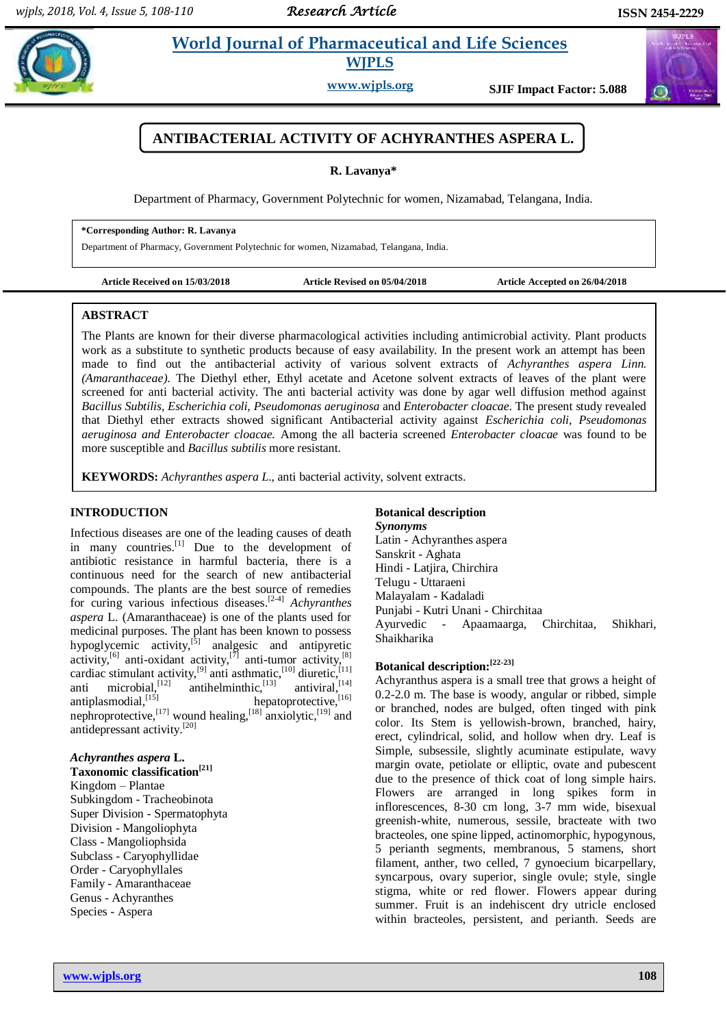# **Paramaceutical and Life Sciences WJPLS**

**www.wjpls.org SJIF Impact Factor: 5.088**

# **ANTIBACTERIAL ACTIVITY OF ACHYRANTHES ASPERA L.**

**R. Lavanya\***

Department of Pharmacy, Government Polytechnic for women, Nizamabad, Telangana, India.

**\*Corresponding Author: R. Lavanya**

Department of Pharmacy, Government Polytechnic for women, Nizamabad, Telangana, India.

**Article Received on 15/03/2018 Article Revised on 05/04/2018 Article Accepted on 26/04/2018**

#### **ABSTRACT**

The Plants are known for their diverse pharmacological activities including antimicrobial activity. Plant products work as a substitute to synthetic products because of easy availability. In the present work an attempt has been made to find out the antibacterial activity of various solvent extracts of *Achyranthes aspera Linn. (Amaranthaceae)*. The Diethyl ether, Ethyl acetate and Acetone solvent extracts of leaves of the plant were screened for anti bacterial activity. The anti bacterial activity was done by agar well diffusion method against *Bacillus Subtilis, Escherichia coli, Pseudomonas aeruginosa* and *Enterobacter cloacae*. The present study revealed that Diethyl ether extracts showed significant Antibacterial activity against *Escherichia coli, Pseudomonas aeruginosa and Enterobacter cloacae.* Among the all bacteria screened *Enterobacter cloacae* was found to be more susceptible and *Bacillus subtilis* more resistant.

**KEYWORDS:** *Achyranthes aspera L*., anti bacterial activity, solvent extracts.

## **INTRODUCTION**

Infectious diseases are one of the leading causes of death in many countries.<sup>[1]</sup> Due to the development of antibiotic resistance in harmful bacteria, there is a continuous need for the search of new antibacterial compounds. The plants are the best source of remedies for curing various infectious diseases. [2-4] *Achyranthes aspera* L. (Amaranthaceae) is one of the plants used for medicinal purposes. The plant has been known to possess hypoglycemic activity, $^{5}$  analgesic and antipyretic activity,<sup>[6]</sup> anti-oxidant activity,<sup>[7]</sup> anti-tumor activity,<sup>[8]</sup> cardiac stimulant activity, <sup>[9]</sup> anti asthmatic, <sup>[10]</sup> diuretic, <sup>[11]</sup> anti microbial,<sup>[12]</sup> antihelminthic,<sup>[13]</sup> antiviral,<sup>[14]</sup> antiplasmodial, [15] hepatoprotective, [16] nephroprotective,  $^{[17]}$  wound healing,  $^{[18]}$  anxiolytic,  $^{[19]}$  and antidepressant activity. [20]

## *Achyranthes aspera* **L.**

**Taxonomic classification[21]** Kingdom – Plantae Subkingdom - Tracheobinota Super Division - Spermatophyta Division - Mangoliophyta Class - Mangoliophsida Subclass - Caryophyllidae Order - Caryophyllales Family - Amaranthaceae Genus - Achyranthes Species - Aspera

# **Botanical description**

*Synonyms*  Latin - Achyranthes aspera Sanskrit - Aghata Hindi - Latjira, Chirchira Telugu - Uttaraeni Malayalam - Kadaladi Punjabi - Kutri Unani - Chirchitaa Ayurvedic - Apaamaarga, Chirchitaa, Shikhari, Shaikharika

# **Botanical description:[22-23]**

Achyranthus aspera is a small tree that grows a height of 0.2-2.0 m. The base is woody, angular or ribbed, simple or branched, nodes are bulged, often tinged with pink color. Its Stem is yellowish-brown, branched, hairy, erect, cylindrical, solid, and hollow when dry. Leaf is Simple, subsessile, slightly acuminate estipulate, wavy margin ovate, petiolate or elliptic, ovate and pubescent due to the presence of thick coat of long simple hairs. Flowers are arranged in long spikes form in inflorescences, 8-30 cm long, 3-7 mm wide, bisexual greenish-white, numerous, sessile, bracteate with two bracteoles, one spine lipped, actinomorphic, hypogynous, 5 perianth segments, membranous, 5 stamens, short filament, anther, two celled, 7 gynoecium bicarpellary, syncarpous, ovary superior, single ovule; style, single stigma, white or red flower. Flowers appear during summer. Fruit is an indehiscent dry utricle enclosed within bracteoles, persistent, and perianth. Seeds are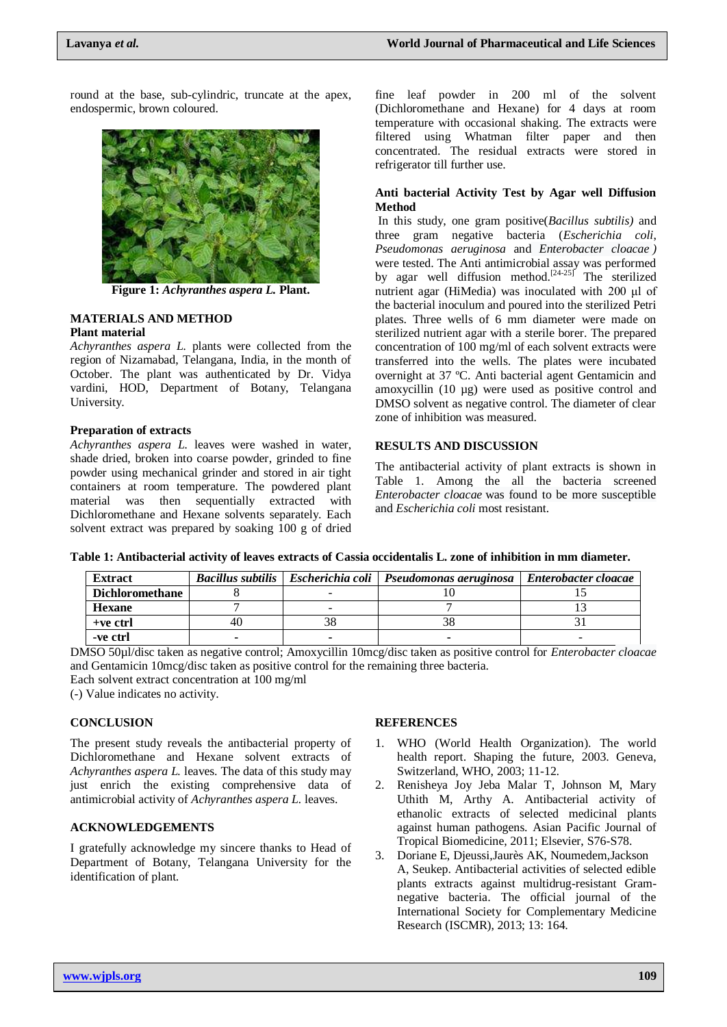round at the base, sub-cylindric, truncate at the apex, endospermic, brown coloured.



**Figure 1:** *Achyranthes aspera L.* **Plant.**

#### **MATERIALS AND METHOD Plant material**

*Achyranthes aspera L.* plants were collected from the region of Nizamabad, Telangana, India, in the month of October. The plant was authenticated by Dr. Vidya vardini, HOD, Department of Botany, Telangana University.

#### **Preparation of extracts**

*Achyranthes aspera L.* leaves were washed in water, shade dried, broken into coarse powder, grinded to fine powder using mechanical grinder and stored in air tight containers at room temperature. The powdered plant material was then sequentially extracted with Dichloromethane and Hexane solvents separately. Each solvent extract was prepared by soaking 100 g of dried fine leaf powder in 200 ml of the solvent (Dichloromethane and Hexane) for 4 days at room temperature with occasional shaking. The extracts were filtered using Whatman filter paper and then concentrated. The residual extracts were stored in refrigerator till further use.

### **Anti bacterial Activity Test by Agar well Diffusion Method**

In this study, one gram positive(*Bacillus subtilis)* and three gram negative bacteria (*Escherichia coli*, *Pseudomonas aeruginosa* and *Enterobacter cloacae )*  were tested. The Anti antimicrobial assay was performed by agar well diffusion method.<sup>[24-25]</sup> The sterilized nutrient agar (HiMedia) was inoculated with 200 μl of the bacterial inoculum and poured into the sterilized Petri plates. Three wells of 6 mm diameter were made on sterilized nutrient agar with a sterile borer. The prepared concentration of 100 mg/ml of each solvent extracts were transferred into the wells. The plates were incubated overnight at 37 ºC. Anti bacterial agent Gentamicin and amoxycillin (10 µg) were used as positive control and DMSO solvent as negative control. The diameter of clear zone of inhibition was measured.

## **RESULTS AND DISCUSSION**

The antibacterial activity of plant extracts is shown in Table 1. Among the all the bacteria screened *Enterobacter cloacae* was found to be more susceptible and *Escherichia coli* most resistant.

| <b>Extract</b>         |     | Bacillus subtilis   Escherichia coli   Pseudomonas aeruginosa | Enterobacter cloacae |
|------------------------|-----|---------------------------------------------------------------|----------------------|
| <b>Dichloromethane</b> |     |                                                               |                      |
| <b>Hexane</b>          |     |                                                               |                      |
| $+ve$ ctrl             | 40. |                                                               |                      |
| -ve ctrl               |     |                                                               |                      |

DMSO 50µl/disc taken as negative control; Amoxycillin 10mcg/disc taken as positive control for *Enterobacter cloacae*  and Gentamicin 10mcg/disc taken as positive control for the remaining three bacteria.

Each solvent extract concentration at 100 mg/ml

(-) Value indicates no activity.

#### **CONCLUSION**

The present study reveals the antibacterial property of Dichloromethane and Hexane solvent extracts of *Achyranthes aspera L.* leaves. The data of this study may just enrich the existing comprehensive data of antimicrobial activity of *Achyranthes aspera L.* leaves.

#### **ACKNOWLEDGEMENTS**

I gratefully acknowledge my sincere thanks to Head of Department of Botany, Telangana University for the identification of plant.

#### **REFERENCES**

- WHO (World Health Organization). The world health report. Shaping the future, 2003. Geneva, Switzerland, WHO, 2003; 11-12.
- 2. Renisheya Joy Jeba Malar T, Johnson M, Mary Uthith M, Arthy A. Antibacterial activity of ethanolic extracts of selected medicinal plants against human pathogens. Asian Pacific Journal of Tropical Biomedicine, 2011; Elsevier, S76-S78.
- 3. Doriane E, Djeussi,Jaurès AK, Noumedem,Jackson A, Seukep. Antibacterial activities of selected edible plants extracts against multidrug-resistant Gramnegative bacteria. The official journal of the International Society for Complementary Medicine Research (ISCMR), 2013; 13: 164.